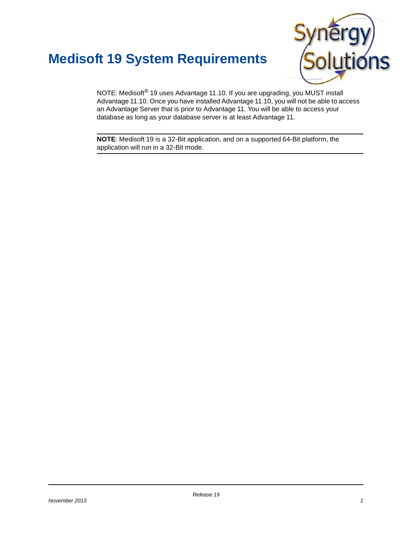## **Medisoft 19 System Requirements**



NOTE: Medisoft® 19 uses Advantage 11.10. If you are upgrading, you MUST install Advantage 11.10. Once you have installed Advantage 11.10, you will not be able to access an Advantage Server that is prior to Advantage 11. You will be able to access your database as long as your database server is at least Advantage 11.

**NOTE**: Medisoft 19 is a 32-Bit [application,](https://support.practicepartner.com/customer/products/proddocs.aspx) and on a supported 64-Bit platform, th[e](https://support.practicepartner.com/customer/products/proddocs.aspx) application will run in a 32-Bit mode.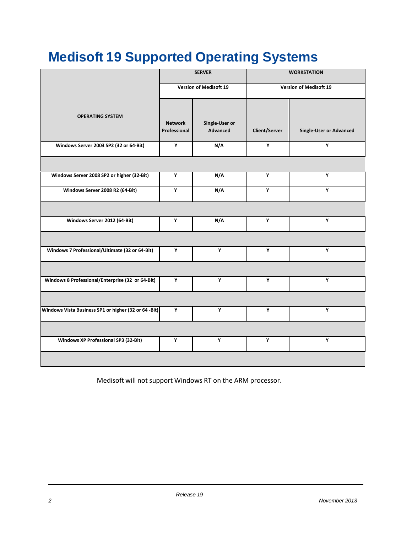# **Medisoft 19 Supported Operating Systems**

|                                                      | <b>SERVER</b><br><b>Version of Medisoft 19</b> |                            | <b>WORKSTATION</b><br><b>Version of Medisoft 19</b> |                                |
|------------------------------------------------------|------------------------------------------------|----------------------------|-----------------------------------------------------|--------------------------------|
|                                                      |                                                |                            |                                                     |                                |
| <b>OPERATING SYSTEM</b>                              | <b>Network</b><br>Professional                 | Single-User or<br>Advanced | Client/Server                                       | <b>Single-User or Advanced</b> |
| Windows Server 2003 SP2 (32 or 64-Bit)               | Y                                              | N/A                        | Υ                                                   | Y                              |
|                                                      |                                                |                            |                                                     |                                |
| Windows Server 2008 SP2 or higher (32-Bit)           | Y                                              | N/A                        | Y                                                   | Υ                              |
| Windows Server 2008 R2 (64-Bit)                      | Y                                              | N/A                        | Y                                                   | Y                              |
|                                                      |                                                |                            |                                                     |                                |
| Windows Server 2012 (64-Bit)                         | Y                                              | N/A                        | Υ                                                   | Y                              |
|                                                      |                                                |                            |                                                     |                                |
| Windows 7 Professional/Ultimate (32 or 64-Bit)       | Y                                              | Y                          | Y                                                   | Y                              |
|                                                      |                                                |                            |                                                     |                                |
| Windows 8 Professional/Enterprise (32 or 64-Bit)     | Y                                              | Υ                          | Y                                                   | Y                              |
|                                                      |                                                |                            |                                                     |                                |
| Windows Vista Business SP1 or higher (32 or 64 -Bit) | Y                                              | Y                          | Y                                                   | Y                              |
|                                                      |                                                |                            |                                                     |                                |
| <b>Windows XP Professional SP3 (32-Bit)</b>          | Υ                                              | Υ                          | Υ                                                   | Υ                              |
|                                                      |                                                |                            |                                                     |                                |

Medisoft will not support Windows RT on the ARM processor.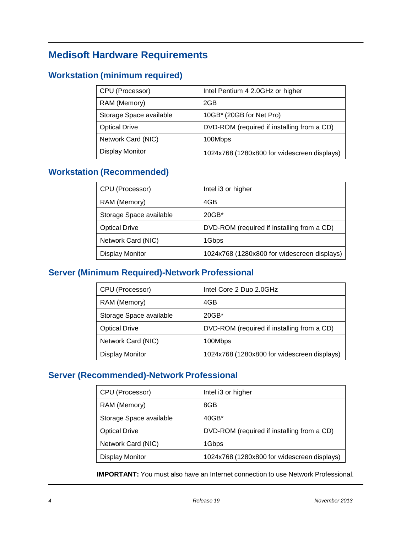## **Medisoft Hardware Requirements**

## **Workstation (minimum required)**

| CPU (Processor)         | Intel Pentium 4 2.0GHz or higher            |
|-------------------------|---------------------------------------------|
| RAM (Memory)            | 2GB                                         |
| Storage Space available | 10GB* (20GB for Net Pro)                    |
| <b>Optical Drive</b>    | DVD-ROM (required if installing from a CD)  |
| Network Card (NIC)      | 100Mbps                                     |
| Display Monitor         | 1024x768 (1280x800 for widescreen displays) |

## **Workstation (Recommended)**

| CPU (Processor)         | Intel i3 or higher                          |
|-------------------------|---------------------------------------------|
| RAM (Memory)            | 4GB                                         |
| Storage Space available | $20GB*$                                     |
| <b>Optical Drive</b>    | DVD-ROM (required if installing from a CD)  |
| Network Card (NIC)      | 1Gbps                                       |
| <b>Display Monitor</b>  | 1024x768 (1280x800 for widescreen displays) |

## **Server (Minimum Required)-Network Professional**

| CPU (Processor)         | Intel Core 2 Duo 2.0GHz                     |
|-------------------------|---------------------------------------------|
| RAM (Memory)            | 4GB                                         |
| Storage Space available | $20GB*$                                     |
| <b>Optical Drive</b>    | DVD-ROM (required if installing from a CD)  |
| Network Card (NIC)      | 100Mbps                                     |
| Display Monitor         | 1024x768 (1280x800 for widescreen displays) |

### **Server (Recommended)-Network Professional**

| CPU (Processor)         | Intel i3 or higher                          |
|-------------------------|---------------------------------------------|
| RAM (Memory)            | 8GB                                         |
| Storage Space available | $40GB*$                                     |
| <b>Optical Drive</b>    | DVD-ROM (required if installing from a CD)  |
| Network Card (NIC)      | 1Gbps                                       |
| Display Monitor         | 1024x768 (1280x800 for widescreen displays) |

**IMPORTANT:** You must also have an Internet connection to use Network Professional.